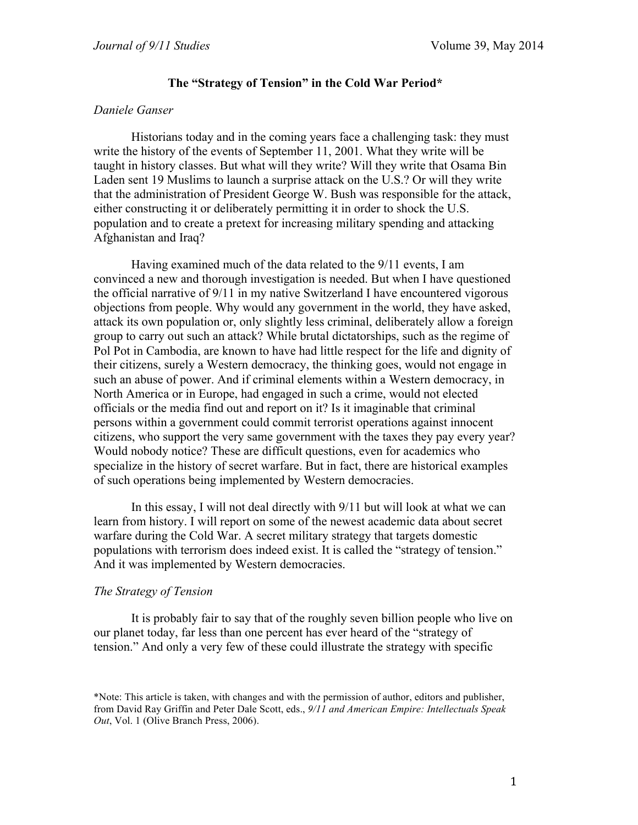# **The "Strategy of Tension" in the Cold War Period\***

### *Daniele Ganser*

Historians today and in the coming years face a challenging task: they must write the history of the events of September 11, 2001. What they write will be taught in history classes. But what will they write? Will they write that Osama Bin Laden sent 19 Muslims to launch a surprise attack on the U.S.? Or will they write that the administration of President George W. Bush was responsible for the attack, either constructing it or deliberately permitting it in order to shock the U.S. population and to create a pretext for increasing military spending and attacking Afghanistan and Iraq?

Having examined much of the data related to the 9/11 events, I am convinced a new and thorough investigation is needed. But when I have questioned the official narrative of 9/11 in my native Switzerland I have encountered vigorous objections from people. Why would any government in the world, they have asked, attack its own population or, only slightly less criminal, deliberately allow a foreign group to carry out such an attack? While brutal dictatorships, such as the regime of Pol Pot in Cambodia, are known to have had little respect for the life and dignity of their citizens, surely a Western democracy, the thinking goes, would not engage in such an abuse of power. And if criminal elements within a Western democracy, in North America or in Europe, had engaged in such a crime, would not elected officials or the media find out and report on it? Is it imaginable that criminal persons within a government could commit terrorist operations against innocent citizens, who support the very same government with the taxes they pay every year? Would nobody notice? These are difficult questions, even for academics who specialize in the history of secret warfare. But in fact, there are historical examples of such operations being implemented by Western democracies.

In this essay, I will not deal directly with 9/11 but will look at what we can learn from history. I will report on some of the newest academic data about secret warfare during the Cold War. A secret military strategy that targets domestic populations with terrorism does indeed exist. It is called the "strategy of tension." And it was implemented by Western democracies.

# *The Strategy of Tension*

It is probably fair to say that of the roughly seven billion people who live on our planet today, far less than one percent has ever heard of the "strategy of tension." And only a very few of these could illustrate the strategy with specific

<sup>\*</sup>Note: This article is taken, with changes and with the permission of author, editors and publisher, from David Ray Griffin and Peter Dale Scott, eds., *9/11 and American Empire: Intellectuals Speak Out*, Vol. 1 (Olive Branch Press, 2006).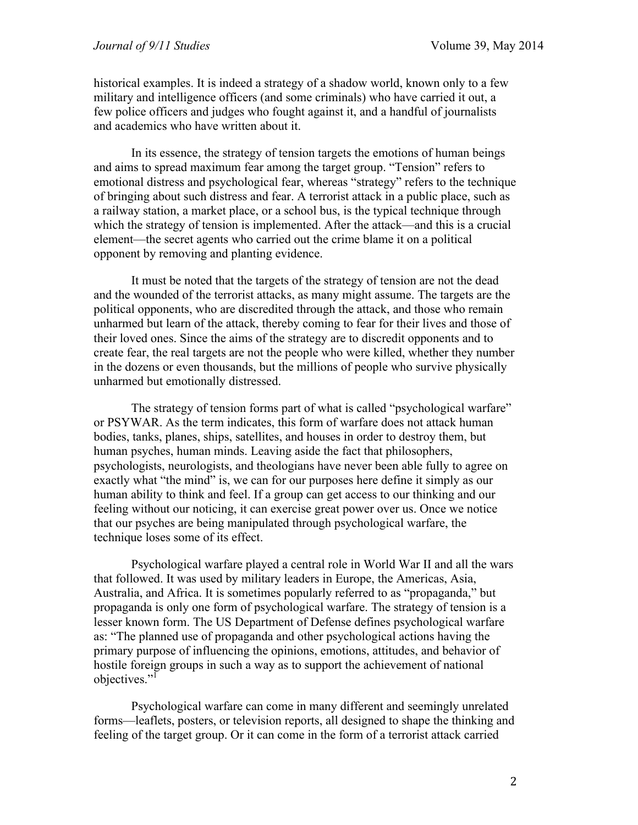historical examples. It is indeed a strategy of a shadow world, known only to a few military and intelligence officers (and some criminals) who have carried it out, a few police officers and judges who fought against it, and a handful of journalists and academics who have written about it.

In its essence, the strategy of tension targets the emotions of human beings and aims to spread maximum fear among the target group. "Tension" refers to emotional distress and psychological fear, whereas "strategy" refers to the technique of bringing about such distress and fear. A terrorist attack in a public place, such as a railway station, a market place, or a school bus, is the typical technique through which the strategy of tension is implemented. After the attack—and this is a crucial element—the secret agents who carried out the crime blame it on a political opponent by removing and planting evidence.

It must be noted that the targets of the strategy of tension are not the dead and the wounded of the terrorist attacks, as many might assume. The targets are the political opponents, who are discredited through the attack, and those who remain unharmed but learn of the attack, thereby coming to fear for their lives and those of their loved ones. Since the aims of the strategy are to discredit opponents and to create fear, the real targets are not the people who were killed, whether they number in the dozens or even thousands, but the millions of people who survive physically unharmed but emotionally distressed.

The strategy of tension forms part of what is called "psychological warfare" or PSYWAR. As the term indicates, this form of warfare does not attack human bodies, tanks, planes, ships, satellites, and houses in order to destroy them, but human psyches, human minds. Leaving aside the fact that philosophers, psychologists, neurologists, and theologians have never been able fully to agree on exactly what "the mind" is, we can for our purposes here define it simply as our human ability to think and feel. If a group can get access to our thinking and our feeling without our noticing, it can exercise great power over us. Once we notice that our psyches are being manipulated through psychological warfare, the technique loses some of its effect.

Psychological warfare played a central role in World War II and all the wars that followed. It was used by military leaders in Europe, the Americas, Asia, Australia, and Africa. It is sometimes popularly referred to as "propaganda," but propaganda is only one form of psychological warfare. The strategy of tension is a lesser known form. The US Department of Defense defines psychological warfare as: "The planned use of propaganda and other psychological actions having the primary purpose of influencing the opinions, emotions, attitudes, and behavior of hostile foreign groups in such a way as to support the achievement of national objectives."<sup>1</sup>

Psychological warfare can come in many different and seemingly unrelated forms—leaflets, posters, or television reports, all designed to shape the thinking and feeling of the target group. Or it can come in the form of a terrorist attack carried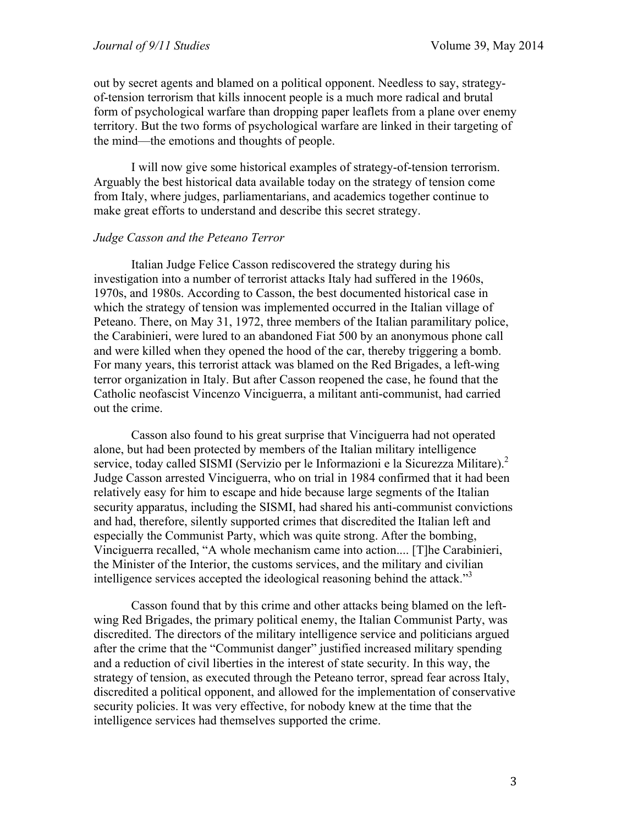out by secret agents and blamed on a political opponent. Needless to say, strategyof-tension terrorism that kills innocent people is a much more radical and brutal form of psychological warfare than dropping paper leaflets from a plane over enemy territory. But the two forms of psychological warfare are linked in their targeting of the mind—the emotions and thoughts of people.

I will now give some historical examples of strategy-of-tension terrorism. Arguably the best historical data available today on the strategy of tension come from Italy, where judges, parliamentarians, and academics together continue to make great efforts to understand and describe this secret strategy.

#### *Judge Casson and the Peteano Terror*

Italian Judge Felice Casson rediscovered the strategy during his investigation into a number of terrorist attacks Italy had suffered in the 1960s, 1970s, and 1980s. According to Casson, the best documented historical case in which the strategy of tension was implemented occurred in the Italian village of Peteano. There, on May 31, 1972, three members of the Italian paramilitary police, the Carabinieri, were lured to an abandoned Fiat 500 by an anonymous phone call and were killed when they opened the hood of the car, thereby triggering a bomb. For many years, this terrorist attack was blamed on the Red Brigades, a left-wing terror organization in Italy. But after Casson reopened the case, he found that the Catholic neofascist Vincenzo Vinciguerra, a militant anti-communist, had carried out the crime.

Casson also found to his great surprise that Vinciguerra had not operated alone, but had been protected by members of the Italian military intelligence service, today called SISMI (Servizio per le Informazioni e la Sicurezza Militare).<sup>2</sup> Judge Casson arrested Vinciguerra, who on trial in 1984 confirmed that it had been relatively easy for him to escape and hide because large segments of the Italian security apparatus, including the SISMI, had shared his anti-communist convictions and had, therefore, silently supported crimes that discredited the Italian left and especially the Communist Party, which was quite strong. After the bombing, Vinciguerra recalled, "A whole mechanism came into action.... [T]he Carabinieri, the Minister of the Interior, the customs services, and the military and civilian intelligence services accepted the ideological reasoning behind the attack."3

Casson found that by this crime and other attacks being blamed on the leftwing Red Brigades, the primary political enemy, the Italian Communist Party, was discredited. The directors of the military intelligence service and politicians argued after the crime that the "Communist danger" justified increased military spending and a reduction of civil liberties in the interest of state security. In this way, the strategy of tension, as executed through the Peteano terror, spread fear across Italy, discredited a political opponent, and allowed for the implementation of conservative security policies. It was very effective, for nobody knew at the time that the intelligence services had themselves supported the crime.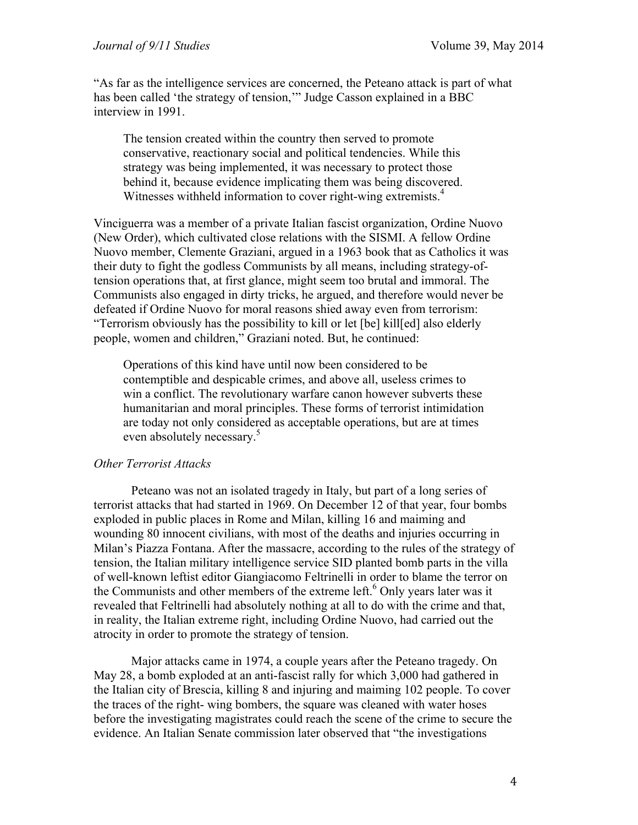"As far as the intelligence services are concerned, the Peteano attack is part of what has been called 'the strategy of tension,'" Judge Casson explained in a BBC interview in 1991.

The tension created within the country then served to promote conservative, reactionary social and political tendencies. While this strategy was being implemented, it was necessary to protect those behind it, because evidence implicating them was being discovered. Witnesses withheld information to cover right-wing extremists.<sup>4</sup>

Vinciguerra was a member of a private Italian fascist organization, Ordine Nuovo (New Order), which cultivated close relations with the SISMI. A fellow Ordine Nuovo member, Clemente Graziani, argued in a 1963 book that as Catholics it was their duty to fight the godless Communists by all means, including strategy-oftension operations that, at first glance, might seem too brutal and immoral. The Communists also engaged in dirty tricks, he argued, and therefore would never be defeated if Ordine Nuovo for moral reasons shied away even from terrorism: "Terrorism obviously has the possibility to kill or let [be] kill[ed] also elderly people, women and children," Graziani noted. But, he continued:

Operations of this kind have until now been considered to be contemptible and despicable crimes, and above all, useless crimes to win a conflict. The revolutionary warfare canon however subverts these humanitarian and moral principles. These forms of terrorist intimidation are today not only considered as acceptable operations, but are at times even absolutely necessary.<sup>5</sup>

# *Other Terrorist Attacks*

Peteano was not an isolated tragedy in Italy, but part of a long series of terrorist attacks that had started in 1969. On December 12 of that year, four bombs exploded in public places in Rome and Milan, killing 16 and maiming and wounding 80 innocent civilians, with most of the deaths and injuries occurring in Milan's Piazza Fontana. After the massacre, according to the rules of the strategy of tension, the Italian military intelligence service SID planted bomb parts in the villa of well-known leftist editor Giangiacomo Feltrinelli in order to blame the terror on the Communists and other members of the extreme left.<sup>6</sup> Only years later was it revealed that Feltrinelli had absolutely nothing at all to do with the crime and that, in reality, the Italian extreme right, including Ordine Nuovo, had carried out the atrocity in order to promote the strategy of tension.

Major attacks came in 1974, a couple years after the Peteano tragedy. On May 28, a bomb exploded at an anti-fascist rally for which 3,000 had gathered in the Italian city of Brescia, killing 8 and injuring and maiming 102 people. To cover the traces of the right- wing bombers, the square was cleaned with water hoses before the investigating magistrates could reach the scene of the crime to secure the evidence. An Italian Senate commission later observed that "the investigations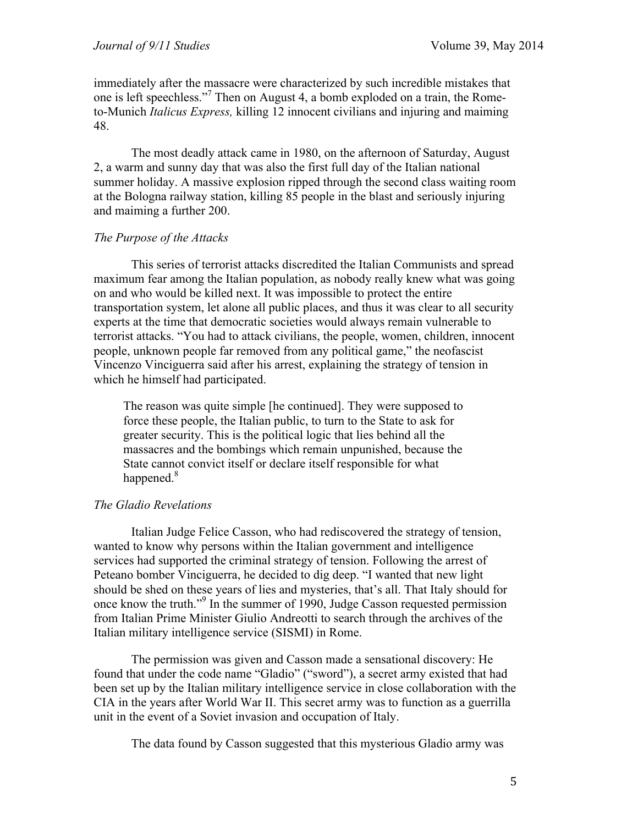immediately after the massacre were characterized by such incredible mistakes that one is left speechless."<sup>7</sup> Then on August 4, a bomb exploded on a train, the Rometo-Munich *Italicus Express,* killing 12 innocent civilians and injuring and maiming 48.

The most deadly attack came in 1980, on the afternoon of Saturday, August 2, a warm and sunny day that was also the first full day of the Italian national summer holiday. A massive explosion ripped through the second class waiting room at the Bologna railway station, killing 85 people in the blast and seriously injuring and maiming a further 200.

#### *The Purpose of the Attacks*

This series of terrorist attacks discredited the Italian Communists and spread maximum fear among the Italian population, as nobody really knew what was going on and who would be killed next. It was impossible to protect the entire transportation system, let alone all public places, and thus it was clear to all security experts at the time that democratic societies would always remain vulnerable to terrorist attacks. "You had to attack civilians, the people, women, children, innocent people, unknown people far removed from any political game," the neofascist Vincenzo Vinciguerra said after his arrest, explaining the strategy of tension in which he himself had participated.

The reason was quite simple [he continued]. They were supposed to force these people, the Italian public, to turn to the State to ask for greater security. This is the political logic that lies behind all the massacres and the bombings which remain unpunished, because the State cannot convict itself or declare itself responsible for what happened.<sup>8</sup>

# *The Gladio Revelations*

Italian Judge Felice Casson, who had rediscovered the strategy of tension, wanted to know why persons within the Italian government and intelligence services had supported the criminal strategy of tension. Following the arrest of Peteano bomber Vinciguerra, he decided to dig deep. "I wanted that new light should be shed on these years of lies and mysteries, that's all. That Italy should for once know the truth."9 In the summer of 1990, Judge Casson requested permission from Italian Prime Minister Giulio Andreotti to search through the archives of the Italian military intelligence service (SISMI) in Rome.

The permission was given and Casson made a sensational discovery: He found that under the code name "Gladio" ("sword"), a secret army existed that had been set up by the Italian military intelligence service in close collaboration with the CIA in the years after World War II. This secret army was to function as a guerrilla unit in the event of a Soviet invasion and occupation of Italy.

The data found by Casson suggested that this mysterious Gladio army was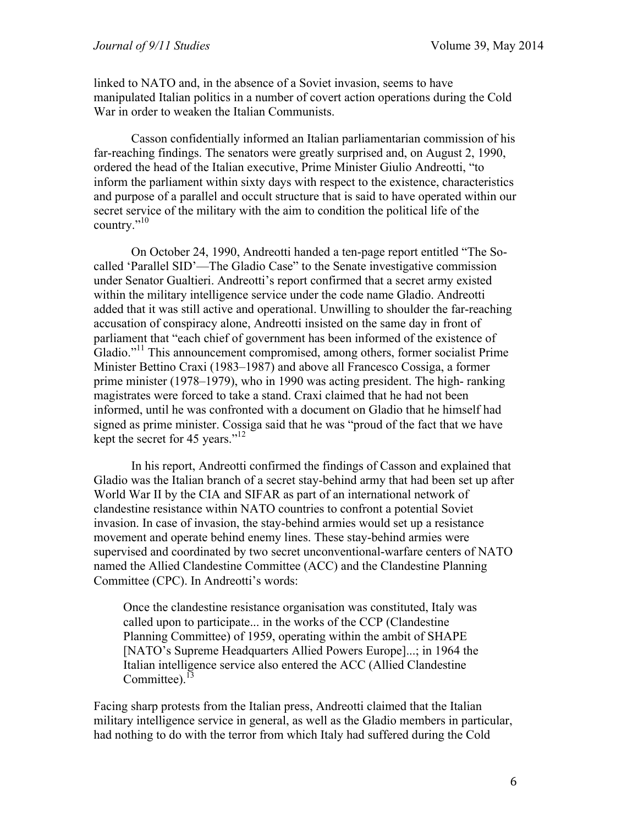linked to NATO and, in the absence of a Soviet invasion, seems to have manipulated Italian politics in a number of covert action operations during the Cold War in order to weaken the Italian Communists.

Casson confidentially informed an Italian parliamentarian commission of his far-reaching findings. The senators were greatly surprised and, on August 2, 1990, ordered the head of the Italian executive, Prime Minister Giulio Andreotti, "to inform the parliament within sixty days with respect to the existence, characteristics and purpose of a parallel and occult structure that is said to have operated within our secret service of the military with the aim to condition the political life of the country."<sup>10</sup>

On October 24, 1990, Andreotti handed a ten-page report entitled "The Socalled 'Parallel SID'—The Gladio Case" to the Senate investigative commission under Senator Gualtieri. Andreotti's report confirmed that a secret army existed within the military intelligence service under the code name Gladio. Andreotti added that it was still active and operational. Unwilling to shoulder the far-reaching accusation of conspiracy alone, Andreotti insisted on the same day in front of parliament that "each chief of government has been informed of the existence of Gladio."<sup>11</sup> This announcement compromised, among others, former socialist Prime Minister Bettino Craxi (1983–1987) and above all Francesco Cossiga, a former prime minister (1978–1979), who in 1990 was acting president. The high- ranking magistrates were forced to take a stand. Craxi claimed that he had not been informed, until he was confronted with a document on Gladio that he himself had signed as prime minister. Cossiga said that he was "proud of the fact that we have kept the secret for 45 years."12

In his report, Andreotti confirmed the findings of Casson and explained that Gladio was the Italian branch of a secret stay-behind army that had been set up after World War II by the CIA and SIFAR as part of an international network of clandestine resistance within NATO countries to confront a potential Soviet invasion. In case of invasion, the stay-behind armies would set up a resistance movement and operate behind enemy lines. These stay-behind armies were supervised and coordinated by two secret unconventional-warfare centers of NATO named the Allied Clandestine Committee (ACC) and the Clandestine Planning Committee (CPC). In Andreotti's words:

Once the clandestine resistance organisation was constituted, Italy was called upon to participate... in the works of the CCP (Clandestine Planning Committee) of 1959, operating within the ambit of SHAPE [NATO's Supreme Headquarters Allied Powers Europe]...; in 1964 the Italian intelligence service also entered the ACC (Allied Clandestine Committee). $^{13}$ 

Facing sharp protests from the Italian press, Andreotti claimed that the Italian military intelligence service in general, as well as the Gladio members in particular, had nothing to do with the terror from which Italy had suffered during the Cold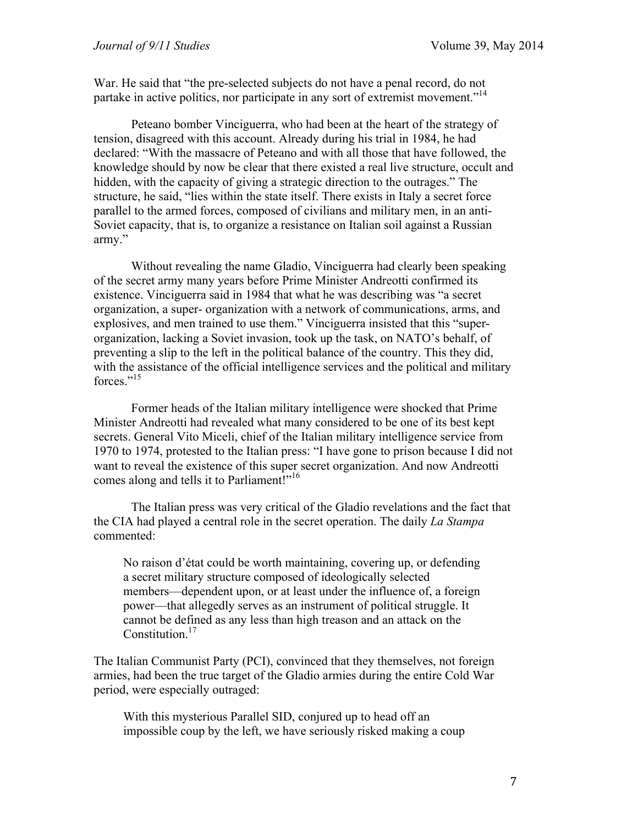War. He said that "the pre-selected subjects do not have a penal record, do not partake in active politics, nor participate in any sort of extremist movement."<sup>14</sup>

Peteano bomber Vinciguerra, who had been at the heart of the strategy of tension, disagreed with this account. Already during his trial in 1984, he had declared: "With the massacre of Peteano and with all those that have followed, the knowledge should by now be clear that there existed a real live structure, occult and hidden, with the capacity of giving a strategic direction to the outrages." The structure, he said, "lies within the state itself. There exists in Italy a secret force parallel to the armed forces, composed of civilians and military men, in an anti-Soviet capacity, that is, to organize a resistance on Italian soil against a Russian army."

Without revealing the name Gladio, Vinciguerra had clearly been speaking of the secret army many years before Prime Minister Andreotti confirmed its existence. Vinciguerra said in 1984 that what he was describing was "a secret organization, a super- organization with a network of communications, arms, and explosives, and men trained to use them." Vinciguerra insisted that this "superorganization, lacking a Soviet invasion, took up the task, on NATO's behalf, of preventing a slip to the left in the political balance of the country. This they did, with the assistance of the official intelligence services and the political and military forces<sup>"15</sup>

Former heads of the Italian military intelligence were shocked that Prime Minister Andreotti had revealed what many considered to be one of its best kept secrets. General Vito Miceli, chief of the Italian military intelligence service from 1970 to 1974, protested to the Italian press: "I have gone to prison because I did not want to reveal the existence of this super secret organization. And now Andreotti comes along and tells it to Parliament!"<sup>16</sup>

The Italian press was very critical of the Gladio revelations and the fact that the CIA had played a central role in the secret operation. The daily *La Stampa*  commented:

No raison d'état could be worth maintaining, covering up, or defending a secret military structure composed of ideologically selected members—dependent upon, or at least under the influence of, a foreign power—that allegedly serves as an instrument of political struggle. It cannot be defined as any less than high treason and an attack on the Constitution.<sup>17</sup>

The Italian Communist Party (PCI), convinced that they themselves, not foreign armies, had been the true target of the Gladio armies during the entire Cold War period, were especially outraged:

With this mysterious Parallel SID, conjured up to head off an impossible coup by the left, we have seriously risked making a coup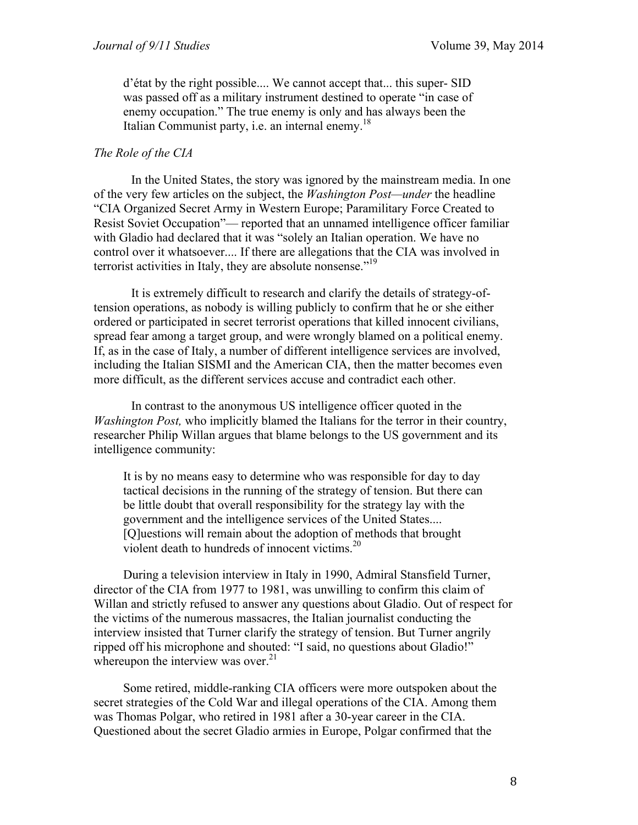d'état by the right possible.... We cannot accept that... this super- SID was passed off as a military instrument destined to operate "in case of enemy occupation." The true enemy is only and has always been the Italian Communist party, i.e. an internal enemy.<sup>18</sup>

#### *The Role of the CIA*

In the United States, the story was ignored by the mainstream media. In one of the very few articles on the subject, the *Washington Post—under* the headline "CIA Organized Secret Army in Western Europe; Paramilitary Force Created to Resist Soviet Occupation"— reported that an unnamed intelligence officer familiar with Gladio had declared that it was "solely an Italian operation. We have no control over it whatsoever.... If there are allegations that the CIA was involved in terrorist activities in Italy, they are absolute nonsense. $19$ 

It is extremely difficult to research and clarify the details of strategy-oftension operations, as nobody is willing publicly to confirm that he or she either ordered or participated in secret terrorist operations that killed innocent civilians, spread fear among a target group, and were wrongly blamed on a political enemy. If, as in the case of Italy, a number of different intelligence services are involved, including the Italian SISMI and the American CIA, then the matter becomes even more difficult, as the different services accuse and contradict each other.

In contrast to the anonymous US intelligence officer quoted in the *Washington Post,* who implicitly blamed the Italians for the terror in their country, researcher Philip Willan argues that blame belongs to the US government and its intelligence community:

It is by no means easy to determine who was responsible for day to day tactical decisions in the running of the strategy of tension. But there can be little doubt that overall responsibility for the strategy lay with the government and the intelligence services of the United States.... [Q]uestions will remain about the adoption of methods that brought violent death to hundreds of innocent victims. $20$ 

During a television interview in Italy in 1990, Admiral Stansfield Turner, director of the CIA from 1977 to 1981, was unwilling to confirm this claim of Willan and strictly refused to answer any questions about Gladio. Out of respect for the victims of the numerous massacres, the Italian journalist conducting the interview insisted that Turner clarify the strategy of tension. But Turner angrily ripped off his microphone and shouted: "I said, no questions about Gladio!" whereupon the interview was over. $2<sup>1</sup>$ 

Some retired, middle-ranking CIA officers were more outspoken about the secret strategies of the Cold War and illegal operations of the CIA. Among them was Thomas Polgar, who retired in 1981 after a 30-year career in the CIA. Questioned about the secret Gladio armies in Europe, Polgar confirmed that the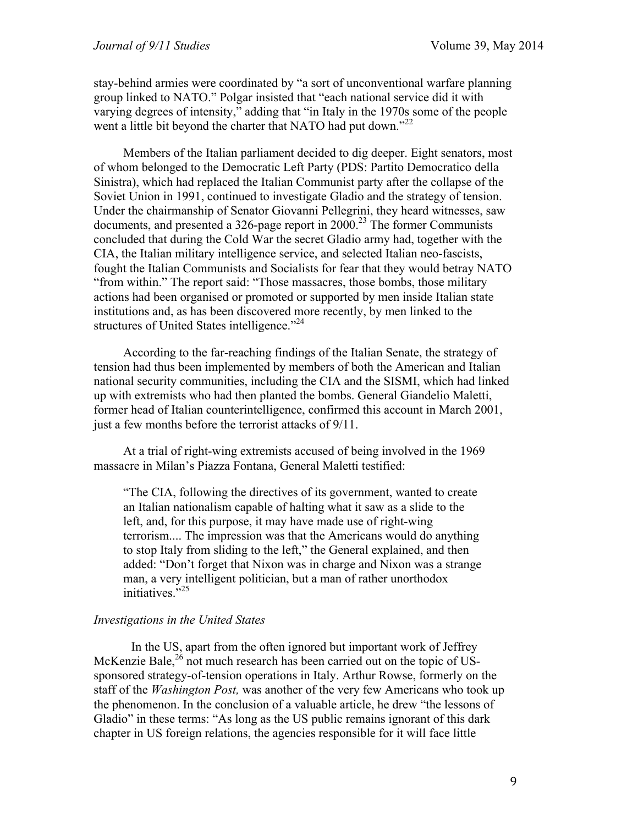stay-behind armies were coordinated by "a sort of unconventional warfare planning group linked to NATO." Polgar insisted that "each national service did it with varying degrees of intensity," adding that "in Italy in the 1970s some of the people went a little bit beyond the charter that NATO had put down."<sup>22</sup>

Members of the Italian parliament decided to dig deeper. Eight senators, most of whom belonged to the Democratic Left Party (PDS: Partito Democratico della Sinistra), which had replaced the Italian Communist party after the collapse of the Soviet Union in 1991, continued to investigate Gladio and the strategy of tension. Under the chairmanship of Senator Giovanni Pellegrini, they heard witnesses, saw documents, and presented a 326-page report in  $2000<sup>23</sup>$  The former Communists concluded that during the Cold War the secret Gladio army had, together with the CIA, the Italian military intelligence service, and selected Italian neo-fascists, fought the Italian Communists and Socialists for fear that they would betray NATO "from within." The report said: "Those massacres, those bombs, those military actions had been organised or promoted or supported by men inside Italian state institutions and, as has been discovered more recently, by men linked to the structures of United States intelligence."<sup>24</sup>

According to the far-reaching findings of the Italian Senate, the strategy of tension had thus been implemented by members of both the American and Italian national security communities, including the CIA and the SISMI, which had linked up with extremists who had then planted the bombs. General Giandelio Maletti, former head of Italian counterintelligence, confirmed this account in March 2001, just a few months before the terrorist attacks of 9/11.

At a trial of right-wing extremists accused of being involved in the 1969 massacre in Milan's Piazza Fontana, General Maletti testified:

"The CIA, following the directives of its government, wanted to create an Italian nationalism capable of halting what it saw as a slide to the left, and, for this purpose, it may have made use of right-wing terrorism.... The impression was that the Americans would do anything to stop Italy from sliding to the left," the General explained, and then added: "Don't forget that Nixon was in charge and Nixon was a strange man, a very intelligent politician, but a man of rather unorthodox initiatives."<sup>25</sup>

# *Investigations in the United States*

In the US, apart from the often ignored but important work of Jeffrey McKenzie Bale,  $^{26}$  not much research has been carried out on the topic of USsponsored strategy-of-tension operations in Italy. Arthur Rowse, formerly on the staff of the *Washington Post,* was another of the very few Americans who took up the phenomenon. In the conclusion of a valuable article, he drew "the lessons of Gladio" in these terms: "As long as the US public remains ignorant of this dark chapter in US foreign relations, the agencies responsible for it will face little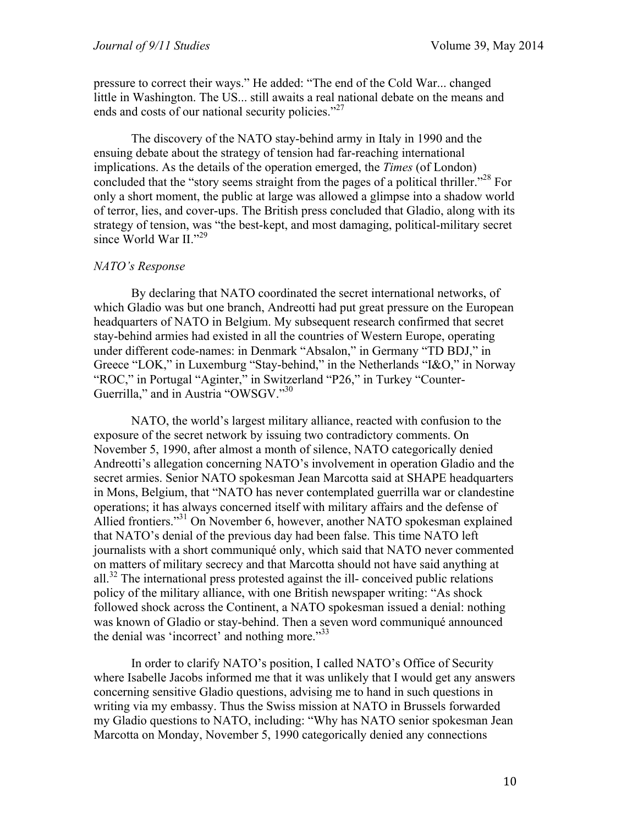pressure to correct their ways." He added: "The end of the Cold War... changed little in Washington. The US... still awaits a real national debate on the means and ends and costs of our national security policies."<sup>27</sup>

The discovery of the NATO stay-behind army in Italy in 1990 and the ensuing debate about the strategy of tension had far-reaching international implications. As the details of the operation emerged, the *Times* (of London) concluded that the "story seems straight from the pages of a political thriller."<sup>28</sup> For only a short moment, the public at large was allowed a glimpse into a shadow world of terror, lies, and cover-ups. The British press concluded that Gladio, along with its strategy of tension, was "the best-kept, and most damaging, political-military secret since World War II."<sup>29</sup>

#### *NATO's Response*

By declaring that NATO coordinated the secret international networks, of which Gladio was but one branch, Andreotti had put great pressure on the European headquarters of NATO in Belgium. My subsequent research confirmed that secret stay-behind armies had existed in all the countries of Western Europe, operating under different code-names: in Denmark "Absalon," in Germany "TD BDJ," in Greece "LOK," in Luxemburg "Stay-behind," in the Netherlands "I&O," in Norway "ROC," in Portugal "Aginter," in Switzerland "P26," in Turkey "Counter-Guerrilla," and in Austria "OWSGV."<sup>30</sup>

NATO, the world's largest military alliance, reacted with confusion to the exposure of the secret network by issuing two contradictory comments. On November 5, 1990, after almost a month of silence, NATO categorically denied Andreotti's allegation concerning NATO's involvement in operation Gladio and the secret armies. Senior NATO spokesman Jean Marcotta said at SHAPE headquarters in Mons, Belgium, that "NATO has never contemplated guerrilla war or clandestine operations; it has always concerned itself with military affairs and the defense of Allied frontiers."<sup>31</sup> On November 6, however, another NATO spokesman explained that NATO's denial of the previous day had been false. This time NATO left journalists with a short communiqué only, which said that NATO never commented on matters of military secrecy and that Marcotta should not have said anything at all.<sup>32</sup> The international press protested against the ill-conceived public relations policy of the military alliance, with one British newspaper writing: "As shock followed shock across the Continent, a NATO spokesman issued a denial: nothing was known of Gladio or stay-behind. Then a seven word communiqué announced the denial was 'incorrect' and nothing more."<sup>33</sup>

In order to clarify NATO's position, I called NATO's Office of Security where Isabelle Jacobs informed me that it was unlikely that I would get any answers concerning sensitive Gladio questions, advising me to hand in such questions in writing via my embassy. Thus the Swiss mission at NATO in Brussels forwarded my Gladio questions to NATO, including: "Why has NATO senior spokesman Jean Marcotta on Monday, November 5, 1990 categorically denied any connections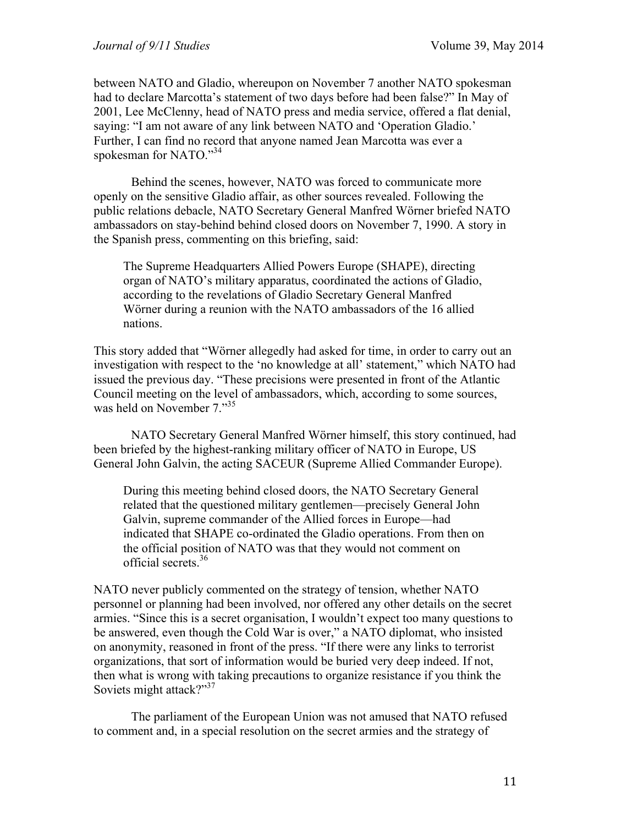between NATO and Gladio, whereupon on November 7 another NATO spokesman had to declare Marcotta's statement of two days before had been false?" In May of 2001, Lee McClenny, head of NATO press and media service, offered a flat denial, saying: "I am not aware of any link between NATO and 'Operation Gladio.' Further, I can find no record that anyone named Jean Marcotta was ever a spokesman for NATO."34

Behind the scenes, however, NATO was forced to communicate more openly on the sensitive Gladio affair, as other sources revealed. Following the public relations debacle, NATO Secretary General Manfred Wörner briefed NATO ambassadors on stay-behind behind closed doors on November 7, 1990. A story in the Spanish press, commenting on this briefing, said:

The Supreme Headquarters Allied Powers Europe (SHAPE), directing organ of NATO's military apparatus, coordinated the actions of Gladio, according to the revelations of Gladio Secretary General Manfred Wörner during a reunion with the NATO ambassadors of the 16 allied nations.

This story added that "Wörner allegedly had asked for time, in order to carry out an investigation with respect to the 'no knowledge at all' statement," which NATO had issued the previous day. "These precisions were presented in front of the Atlantic Council meeting on the level of ambassadors, which, according to some sources, was held on November 7."<sup>35</sup>

NATO Secretary General Manfred Wörner himself, this story continued, had been briefed by the highest-ranking military officer of NATO in Europe, US General John Galvin, the acting SACEUR (Supreme Allied Commander Europe).

During this meeting behind closed doors, the NATO Secretary General related that the questioned military gentlemen—precisely General John Galvin, supreme commander of the Allied forces in Europe—had indicated that SHAPE co-ordinated the Gladio operations. From then on the official position of NATO was that they would not comment on official secrets.36

NATO never publicly commented on the strategy of tension, whether NATO personnel or planning had been involved, nor offered any other details on the secret armies. "Since this is a secret organisation, I wouldn't expect too many questions to be answered, even though the Cold War is over," a NATO diplomat, who insisted on anonymity, reasoned in front of the press. "If there were any links to terrorist organizations, that sort of information would be buried very deep indeed. If not, then what is wrong with taking precautions to organize resistance if you think the Soviets might attack?"<sup>37</sup>

The parliament of the European Union was not amused that NATO refused to comment and, in a special resolution on the secret armies and the strategy of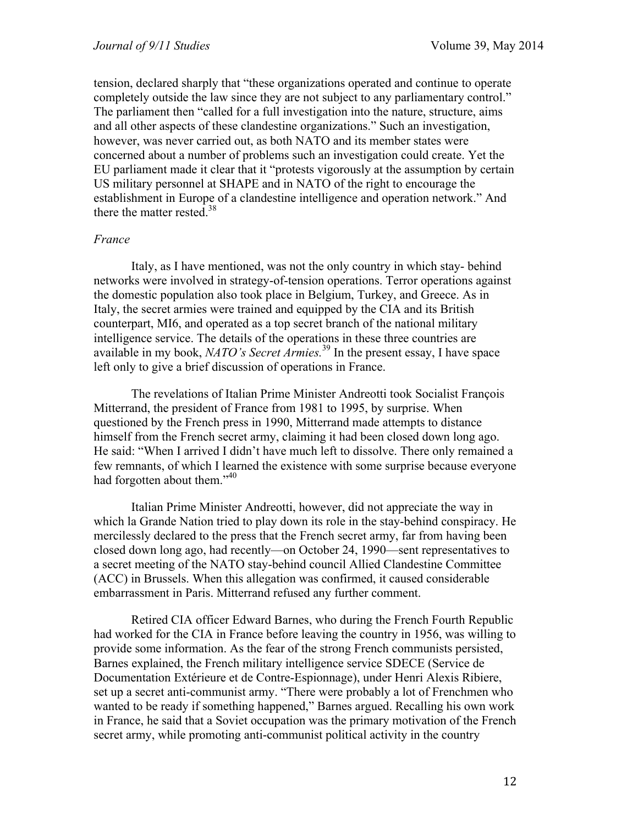tension, declared sharply that "these organizations operated and continue to operate completely outside the law since they are not subject to any parliamentary control." The parliament then "called for a full investigation into the nature, structure, aims and all other aspects of these clandestine organizations." Such an investigation, however, was never carried out, as both NATO and its member states were concerned about a number of problems such an investigation could create. Yet the EU parliament made it clear that it "protests vigorously at the assumption by certain US military personnel at SHAPE and in NATO of the right to encourage the establishment in Europe of a clandestine intelligence and operation network." And there the matter rested.38

#### *France*

Italy, as I have mentioned, was not the only country in which stay- behind networks were involved in strategy-of-tension operations. Terror operations against the domestic population also took place in Belgium, Turkey, and Greece. As in Italy, the secret armies were trained and equipped by the CIA and its British counterpart, MI6, and operated as a top secret branch of the national military intelligence service. The details of the operations in these three countries are available in my book, *NATO's Secret Armies.*<sup>39</sup> In the present essay, I have space left only to give a brief discussion of operations in France.

The revelations of Italian Prime Minister Andreotti took Socialist François Mitterrand, the president of France from 1981 to 1995, by surprise. When questioned by the French press in 1990, Mitterrand made attempts to distance himself from the French secret army, claiming it had been closed down long ago. He said: "When I arrived I didn't have much left to dissolve. There only remained a few remnants, of which I learned the existence with some surprise because everyone had forgotten about them."<sup>40</sup>

Italian Prime Minister Andreotti, however, did not appreciate the way in which la Grande Nation tried to play down its role in the stay-behind conspiracy. He mercilessly declared to the press that the French secret army, far from having been closed down long ago, had recently—on October 24, 1990—sent representatives to a secret meeting of the NATO stay-behind council Allied Clandestine Committee (ACC) in Brussels. When this allegation was confirmed, it caused considerable embarrassment in Paris. Mitterrand refused any further comment.

Retired CIA officer Edward Barnes, who during the French Fourth Republic had worked for the CIA in France before leaving the country in 1956, was willing to provide some information. As the fear of the strong French communists persisted, Barnes explained, the French military intelligence service SDECE (Service de Documentation Extérieure et de Contre-Espionnage), under Henri Alexis Ribiere, set up a secret anti-communist army. "There were probably a lot of Frenchmen who wanted to be ready if something happened," Barnes argued. Recalling his own work in France, he said that a Soviet occupation was the primary motivation of the French secret army, while promoting anti-communist political activity in the country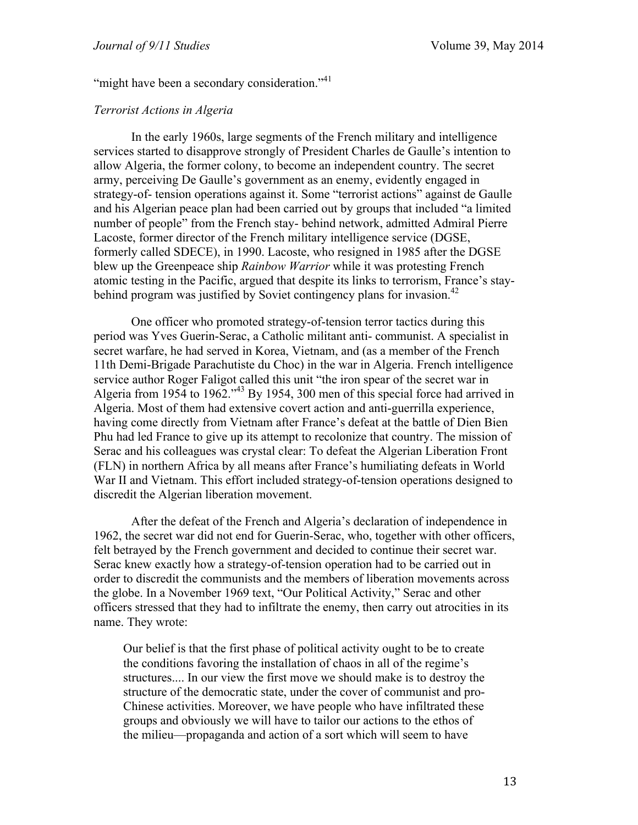"might have been a secondary consideration."<sup>41</sup>

### *Terrorist Actions in Algeria*

In the early 1960s, large segments of the French military and intelligence services started to disapprove strongly of President Charles de Gaulle's intention to allow Algeria, the former colony, to become an independent country. The secret army, perceiving De Gaulle's government as an enemy, evidently engaged in strategy-of- tension operations against it. Some "terrorist actions" against de Gaulle and his Algerian peace plan had been carried out by groups that included "a limited number of people" from the French stay- behind network, admitted Admiral Pierre Lacoste, former director of the French military intelligence service (DGSE, formerly called SDECE), in 1990. Lacoste, who resigned in 1985 after the DGSE blew up the Greenpeace ship *Rainbow Warrior* while it was protesting French atomic testing in the Pacific, argued that despite its links to terrorism, France's staybehind program was justified by Soviet contingency plans for invasion.<sup>42</sup>

One officer who promoted strategy-of-tension terror tactics during this period was Yves Guerin-Serac, a Catholic militant anti- communist. A specialist in secret warfare, he had served in Korea, Vietnam, and (as a member of the French 11th Demi-Brigade Parachutiste du Choc) in the war in Algeria. French intelligence service author Roger Faligot called this unit "the iron spear of the secret war in Algeria from 1954 to 1962.<sup>343</sup> By 1954, 300 men of this special force had arrived in Algeria. Most of them had extensive covert action and anti-guerrilla experience, having come directly from Vietnam after France's defeat at the battle of Dien Bien Phu had led France to give up its attempt to recolonize that country. The mission of Serac and his colleagues was crystal clear: To defeat the Algerian Liberation Front (FLN) in northern Africa by all means after France's humiliating defeats in World War II and Vietnam. This effort included strategy-of-tension operations designed to discredit the Algerian liberation movement.

After the defeat of the French and Algeria's declaration of independence in 1962, the secret war did not end for Guerin-Serac, who, together with other officers, felt betrayed by the French government and decided to continue their secret war. Serac knew exactly how a strategy-of-tension operation had to be carried out in order to discredit the communists and the members of liberation movements across the globe. In a November 1969 text, "Our Political Activity," Serac and other officers stressed that they had to infiltrate the enemy, then carry out atrocities in its name. They wrote:

Our belief is that the first phase of political activity ought to be to create the conditions favoring the installation of chaos in all of the regime's structures.... In our view the first move we should make is to destroy the structure of the democratic state, under the cover of communist and pro-Chinese activities. Moreover, we have people who have infiltrated these groups and obviously we will have to tailor our actions to the ethos of the milieu—propaganda and action of a sort which will seem to have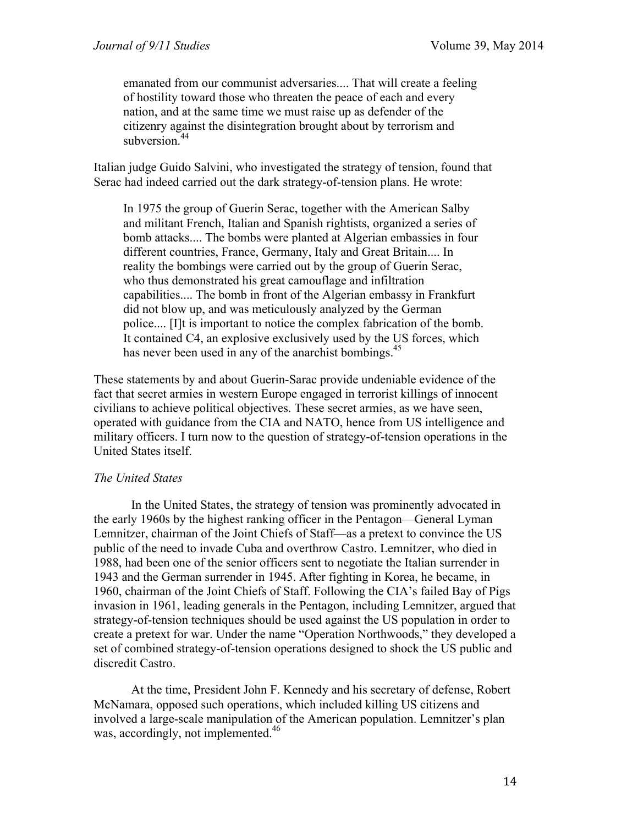emanated from our communist adversaries.... That will create a feeling of hostility toward those who threaten the peace of each and every nation, and at the same time we must raise up as defender of the citizenry against the disintegration brought about by terrorism and subversion.<sup>44</sup>

Italian judge Guido Salvini, who investigated the strategy of tension, found that Serac had indeed carried out the dark strategy-of-tension plans. He wrote:

In 1975 the group of Guerin Serac, together with the American Salby and militant French, Italian and Spanish rightists, organized a series of bomb attacks.... The bombs were planted at Algerian embassies in four different countries, France, Germany, Italy and Great Britain.... In reality the bombings were carried out by the group of Guerin Serac, who thus demonstrated his great camouflage and infiltration capabilities.... The bomb in front of the Algerian embassy in Frankfurt did not blow up, and was meticulously analyzed by the German police.... [I]t is important to notice the complex fabrication of the bomb. It contained C4, an explosive exclusively used by the US forces, which has never been used in any of the anarchist bombings.<sup>45</sup>

These statements by and about Guerin-Sarac provide undeniable evidence of the fact that secret armies in western Europe engaged in terrorist killings of innocent civilians to achieve political objectives. These secret armies, as we have seen, operated with guidance from the CIA and NATO, hence from US intelligence and military officers. I turn now to the question of strategy-of-tension operations in the United States itself.

# *The United States*

In the United States, the strategy of tension was prominently advocated in the early 1960s by the highest ranking officer in the Pentagon—General Lyman Lemnitzer, chairman of the Joint Chiefs of Staff—as a pretext to convince the US public of the need to invade Cuba and overthrow Castro. Lemnitzer, who died in 1988, had been one of the senior officers sent to negotiate the Italian surrender in 1943 and the German surrender in 1945. After fighting in Korea, he became, in 1960, chairman of the Joint Chiefs of Staff. Following the CIA's failed Bay of Pigs invasion in 1961, leading generals in the Pentagon, including Lemnitzer, argued that strategy-of-tension techniques should be used against the US population in order to create a pretext for war. Under the name "Operation Northwoods," they developed a set of combined strategy-of-tension operations designed to shock the US public and discredit Castro.

At the time, President John F. Kennedy and his secretary of defense, Robert McNamara, opposed such operations, which included killing US citizens and involved a large-scale manipulation of the American population. Lemnitzer's plan was, accordingly, not implemented.<sup>46</sup>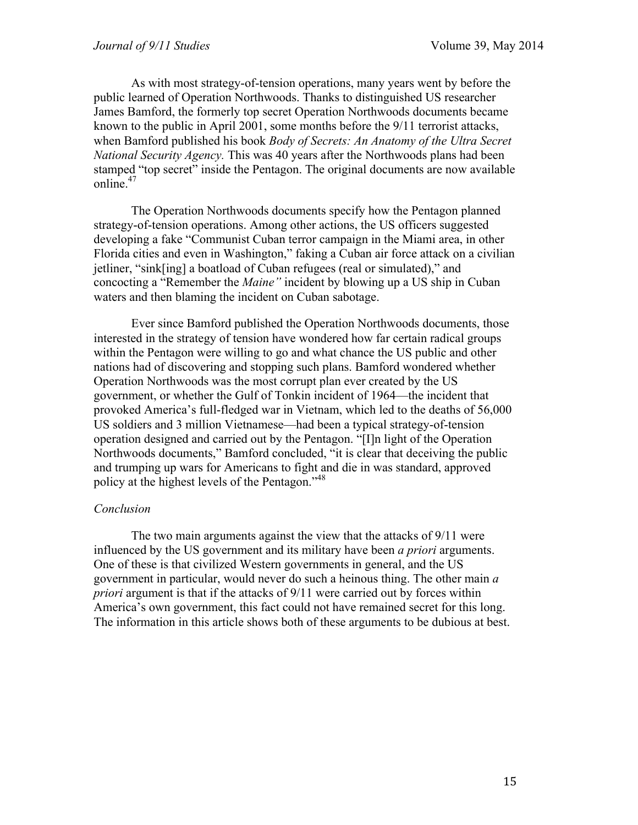As with most strategy-of-tension operations, many years went by before the public learned of Operation Northwoods. Thanks to distinguished US researcher James Bamford, the formerly top secret Operation Northwoods documents became known to the public in April 2001, some months before the 9/11 terrorist attacks, when Bamford published his book *Body of Secrets: An Anatomy of the Ultra Secret National Security Agency.* This was 40 years after the Northwoods plans had been stamped "top secret" inside the Pentagon. The original documents are now available online.<sup>47</sup>

The Operation Northwoods documents specify how the Pentagon planned strategy-of-tension operations. Among other actions, the US officers suggested developing a fake "Communist Cuban terror campaign in the Miami area, in other Florida cities and even in Washington," faking a Cuban air force attack on a civilian jetliner, "sink[ing] a boatload of Cuban refugees (real or simulated)," and concocting a "Remember the *Maine"* incident by blowing up a US ship in Cuban waters and then blaming the incident on Cuban sabotage.

Ever since Bamford published the Operation Northwoods documents, those interested in the strategy of tension have wondered how far certain radical groups within the Pentagon were willing to go and what chance the US public and other nations had of discovering and stopping such plans. Bamford wondered whether Operation Northwoods was the most corrupt plan ever created by the US government, or whether the Gulf of Tonkin incident of 1964—the incident that provoked America's full-fledged war in Vietnam, which led to the deaths of 56,000 US soldiers and 3 million Vietnamese—had been a typical strategy-of-tension operation designed and carried out by the Pentagon. "[I]n light of the Operation Northwoods documents," Bamford concluded, "it is clear that deceiving the public and trumping up wars for Americans to fight and die in was standard, approved policy at the highest levels of the Pentagon."48

# *Conclusion*

The two main arguments against the view that the attacks of 9/11 were influenced by the US government and its military have been *a priori* arguments. One of these is that civilized Western governments in general, and the US government in particular, would never do such a heinous thing. The other main *a priori* argument is that if the attacks of 9/11 were carried out by forces within America's own government, this fact could not have remained secret for this long. The information in this article shows both of these arguments to be dubious at best.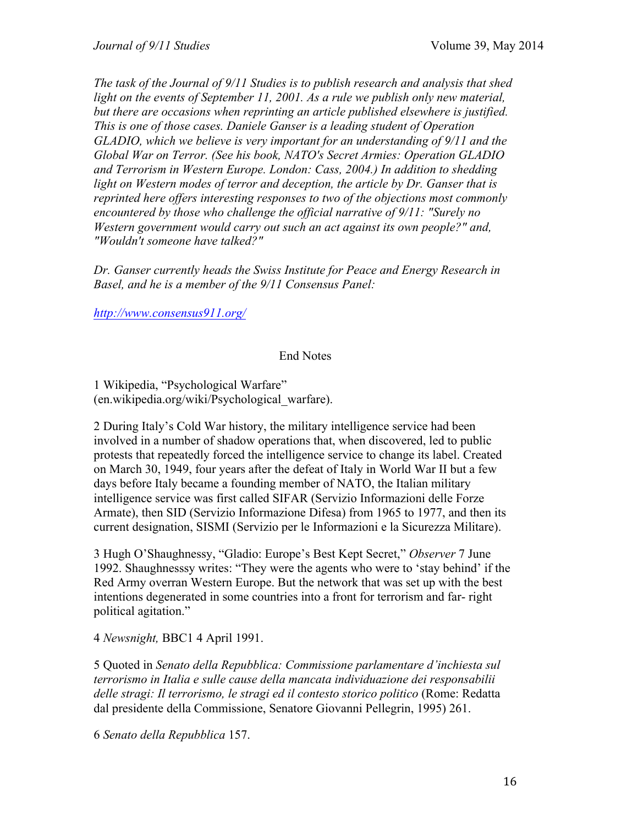*The task of the Journal of 9/11 Studies is to publish research and analysis that shed light on the events of September 11, 2001. As a rule we publish only new material, but there are occasions when reprinting an article published elsewhere is justified. This is one of those cases. Daniele Ganser is a leading student of Operation GLADIO, which we believe is very important for an understanding of 9/11 and the Global War on Terror. (See his book, NATO's Secret Armies: Operation GLADIO and Terrorism in Western Europe. London: Cass, 2004.) In addition to shedding light on Western modes of terror and deception, the article by Dr. Ganser that is reprinted here offers interesting responses to two of the objections most commonly encountered by those who challenge the official narrative of 9/11: "Surely no Western government would carry out such an act against its own people?" and, "Wouldn't someone have talked?"*

*Dr. Ganser currently heads the Swiss Institute for Peace and Energy Research in Basel, and he is a member of the 9/11 Consensus Panel:*

*http://www.consensus911.org/*

End Notes

1 Wikipedia, "Psychological Warfare" (en.wikipedia.org/wiki/Psychological\_warfare).

2 During Italy's Cold War history, the military intelligence service had been involved in a number of shadow operations that, when discovered, led to public protests that repeatedly forced the intelligence service to change its label. Created on March 30, 1949, four years after the defeat of Italy in World War II but a few days before Italy became a founding member of NATO, the Italian military intelligence service was first called SIFAR (Servizio Informazioni delle Forze Armate), then SID (Servizio Informazione Difesa) from 1965 to 1977, and then its current designation, SISMI (Servizio per le Informazioni e la Sicurezza Militare).

3 Hugh O'Shaughnessy, "Gladio: Europe's Best Kept Secret," *Observer* 7 June 1992. Shaughnesssy writes: "They were the agents who were to 'stay behind' if the Red Army overran Western Europe. But the network that was set up with the best intentions degenerated in some countries into a front for terrorism and far- right political agitation."

4 *Newsnight,* BBC1 4 April 1991.

5 Quoted in *Senato della Repubblica: Commissione parlamentare d'inchiesta sul terrorismo in Italia e sulle cause della mancata individuazione dei responsabilii delle stragi: Il terrorismo, le stragi ed il contesto storico politico* (Rome: Redatta dal presidente della Commissione, Senatore Giovanni Pellegrin, 1995) 261.

6 *Senato della Repubblica* 157.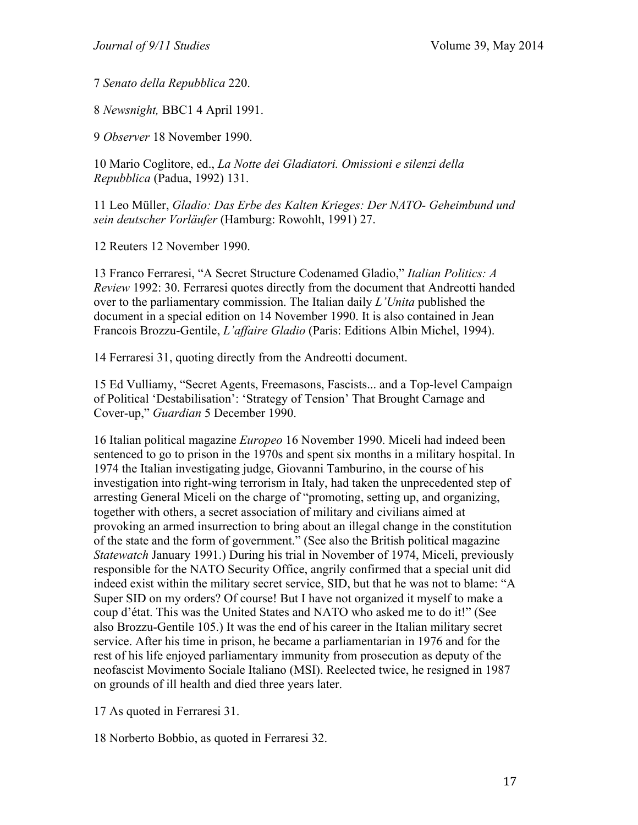7 *Senato della Repubblica* 220.

8 *Newsnight,* BBC1 4 April 1991.

9 *Observer* 18 November 1990.

10 Mario Coglitore, ed., *La Notte dei Gladiatori. Omissioni e silenzi della Repubblica* (Padua, 1992) 131.

11 Leo Müller, *Gladio: Das Erbe des Kalten Krieges: Der NATO- Geheimbund und sein deutscher Vorläufer* (Hamburg: Rowohlt, 1991) 27.

12 Reuters 12 November 1990.

13 Franco Ferraresi, "A Secret Structure Codenamed Gladio," *Italian Politics: A Review* 1992: 30. Ferraresi quotes directly from the document that Andreotti handed over to the parliamentary commission. The Italian daily *L'Unita* published the document in a special edition on 14 November 1990. It is also contained in Jean Francois Brozzu-Gentile, *L'affaire Gladio* (Paris: Editions Albin Michel, 1994).

14 Ferraresi 31, quoting directly from the Andreotti document.

15 Ed Vulliamy, "Secret Agents, Freemasons, Fascists... and a Top-level Campaign of Political 'Destabilisation': 'Strategy of Tension' That Brought Carnage and Cover-up," *Guardian* 5 December 1990.

16 Italian political magazine *Europeo* 16 November 1990. Miceli had indeed been sentenced to go to prison in the 1970s and spent six months in a military hospital. In 1974 the Italian investigating judge, Giovanni Tamburino, in the course of his investigation into right-wing terrorism in Italy, had taken the unprecedented step of arresting General Miceli on the charge of "promoting, setting up, and organizing, together with others, a secret association of military and civilians aimed at provoking an armed insurrection to bring about an illegal change in the constitution of the state and the form of government." (See also the British political magazine *Statewatch* January 1991.) During his trial in November of 1974, Miceli, previously responsible for the NATO Security Office, angrily confirmed that a special unit did indeed exist within the military secret service, SID, but that he was not to blame: "A Super SID on my orders? Of course! But I have not organized it myself to make a coup d'état. This was the United States and NATO who asked me to do it!" (See also Brozzu-Gentile 105.) It was the end of his career in the Italian military secret service. After his time in prison, he became a parliamentarian in 1976 and for the rest of his life enjoyed parliamentary immunity from prosecution as deputy of the neofascist Movimento Sociale Italiano (MSI). Reelected twice, he resigned in 1987 on grounds of ill health and died three years later.

17 As quoted in Ferraresi 31.

18 Norberto Bobbio, as quoted in Ferraresi 32.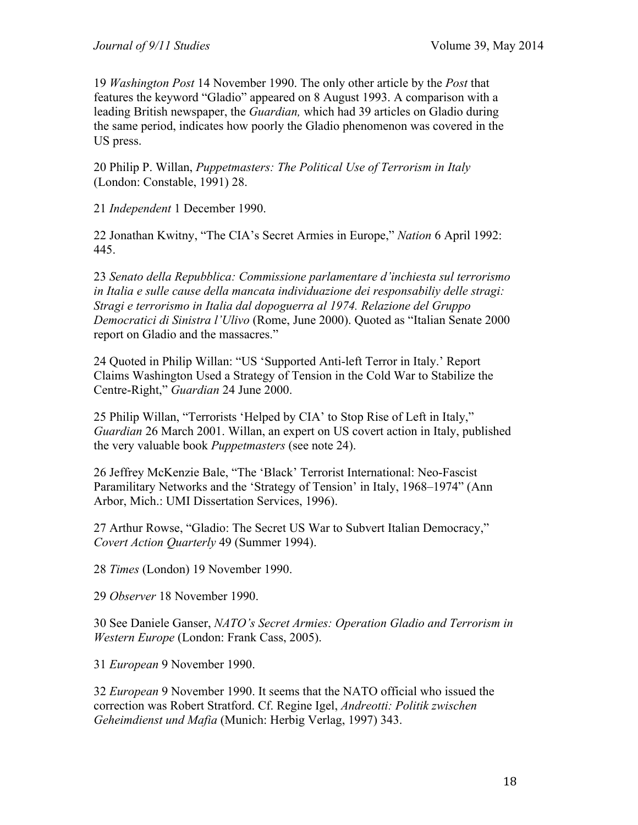19 *Washington Post* 14 November 1990. The only other article by the *Post* that features the keyword "Gladio" appeared on 8 August 1993. A comparison with a leading British newspaper, the *Guardian,* which had 39 articles on Gladio during the same period, indicates how poorly the Gladio phenomenon was covered in the US press.

20 Philip P. Willan, *Puppetmasters: The Political Use of Terrorism in Italy*  (London: Constable, 1991) 28.

21 *Independent* 1 December 1990.

22 Jonathan Kwitny, "The CIA's Secret Armies in Europe," *Nation* 6 April 1992: 445.

23 *Senato della Repubblica: Commissione parlamentare d'inchiesta sul terrorismo in Italia e sulle cause della mancata individuazione dei responsabiliy delle stragi: Stragi e terrorismo in Italia dal dopoguerra al 1974. Relazione del Gruppo Democratici di Sinistra l'Ulivo* (Rome, June 2000). Quoted as "Italian Senate 2000 report on Gladio and the massacres."

24 Quoted in Philip Willan: "US 'Supported Anti-left Terror in Italy.' Report Claims Washington Used a Strategy of Tension in the Cold War to Stabilize the Centre-Right," *Guardian* 24 June 2000.

25 Philip Willan, "Terrorists 'Helped by CIA' to Stop Rise of Left in Italy," *Guardian* 26 March 2001. Willan, an expert on US covert action in Italy, published the very valuable book *Puppetmasters* (see note 24).

26 Jeffrey McKenzie Bale, "The 'Black' Terrorist International: Neo-Fascist Paramilitary Networks and the 'Strategy of Tension' in Italy, 1968–1974" (Ann Arbor, Mich.: UMI Dissertation Services, 1996).

27 Arthur Rowse, "Gladio: The Secret US War to Subvert Italian Democracy," *Covert Action Quarterly* 49 (Summer 1994).

28 *Times* (London) 19 November 1990.

29 *Observer* 18 November 1990.

30 See Daniele Ganser, *NATO's Secret Armies: Operation Gladio and Terrorism in Western Europe* (London: Frank Cass, 2005).

31 *European* 9 November 1990.

32 *European* 9 November 1990. It seems that the NATO official who issued the correction was Robert Stratford. Cf. Regine Igel, *Andreotti: Politik zwischen Geheimdienst und Mafia* (Munich: Herbig Verlag, 1997) 343.